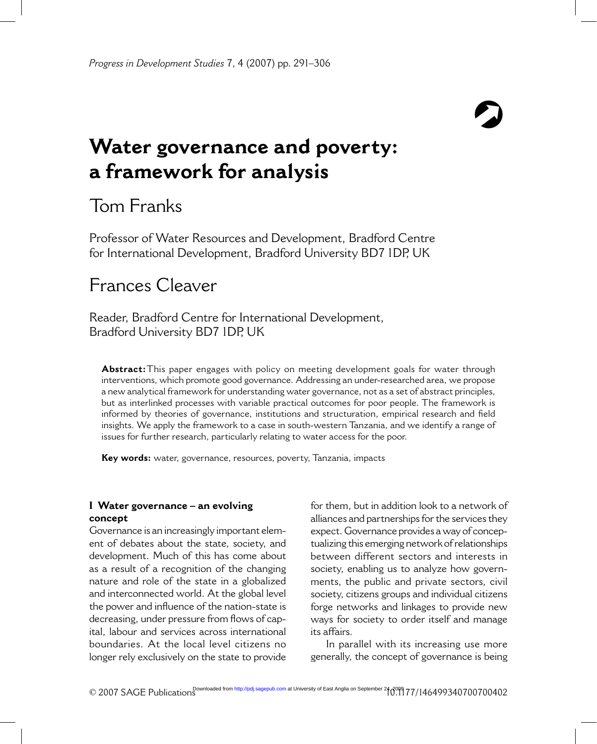# $\boldsymbol{\Omega}$

## **Water governance and poverty: a framework for analysis**

### Tom Franks

Professor of Water Resources and Development, Bradford Centre for International Development, Bradford University BD7 1DP, UK

## Frances Cleaver

Reader, Bradford Centre for International Development, Bradford University BD7 1DP, UK

**Abstract:**This paper engages with policy on meeting development goals for water through interventions, which promote good governance. Addressing an under-researched area, we propose a new analytical framework for understanding water governance, not as a set of abstract principles, but as interlinked processes with variable practical outcomes for poor people. The framework is informed by theories of governance, institutions and structuration, empirical research and field insights. We apply the framework to a case in south-western Tanzania, and we identify a range of issues for further research, particularly relating to water access for the poor.

**Key words:** water, governance, resources, poverty, Tanzania, impacts

#### **I Water governance – an evolving concept**

Governance is an increasingly important element of debates about the state, society, and development. Much of this has come about as a result of a recognition of the changing nature and role of the state in a globalized and interconnected world. At the global level the power and influence of the nation-state is decreasing, under pressure from flows of capital, labour and services across international boundaries. At the local level citizens no longer rely exclusively on the state to provide

for them, but in addition look to a network of alliances and partnerships for the services they expect. Governance provides a way of conceptualizing this emerging network of relationships between different sectors and interests in society, enabling us to analyze how governments, the public and private sectors, civil society, citizens groups and individual citizens forge networks and linkages to provide new ways for society to order itself and manage its affairs.

In parallel with its increasing use more generally, the concept of governance is being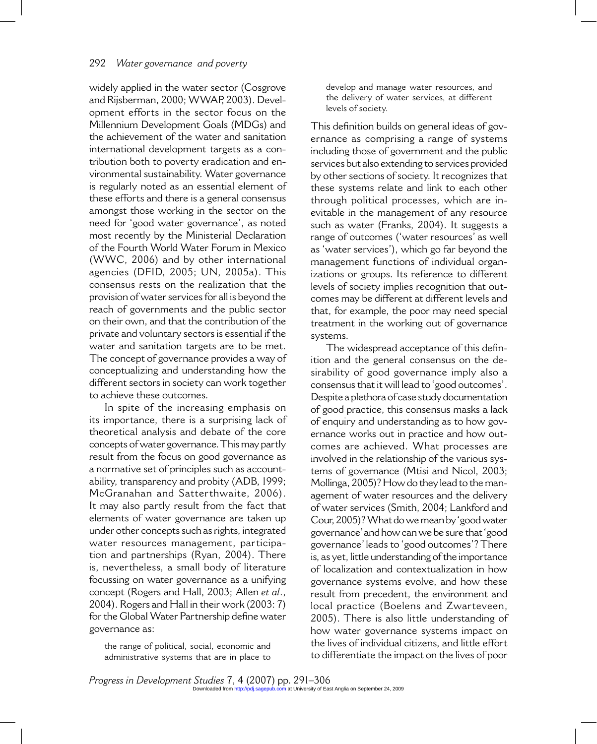widely applied in the water sector (Cosgrove and Rijsberman, 2000; WWAP, 2003). Development efforts in the sector focus on the Millennium Development Goals (MDGs) and the achievement of the water and sanitation international development targets as a contribution both to poverty eradication and environmental sustainability. Water governance is regularly noted as an essential element of these efforts and there is a general consensus amongst those working in the sector on the need for 'good water governance', as noted most recently by the Ministerial Declaration of the Fourth World Water Forum in Mexico (WWC, 2006) and by other international agencies (DFID, 2005; UN, 2005a). This consensus rests on the realization that the provision of water services for all is beyond the reach of governments and the public sector on their own, and that the contribution of the private and voluntary sectors is essential if the water and sanitation targets are to be met. The concept of governance provides a way of conceptualizing and understanding how the different sectors in society can work together to achieve these outcomes.

In spite of the increasing emphasis on its importance, there is a surprising lack of theoretical analysis and debate of the core concepts of water governance. This may partly result from the focus on good governance as a normative set of principles such as accountability, transparency and probity (ADB, 1999; McGranahan and Satterthwaite, 2006). It may also partly result from the fact that elements of water governance are taken up under other concepts such as rights, integrated water resources management, participation and partnerships (Ryan, 2004). There is, nevertheless, a small body of literature focussing on water governance as a unifying concept (Rogers and Hall, 2003; Allen *et al*., 2004). Rogers and Hall in their work (2003: 7) for the Global Water Partnership define water governance as:

the range of political, social, economic and administrative systems that are in place to develop and manage water resources, and the delivery of water services, at different levels of society.

This definition builds on general ideas of governance as comprising a range of systems including those of government and the public services but also extending to services provided by other sections of society. It recognizes that these systems relate and link to each other through political processes, which are inevitable in the management of any resource such as water (Franks, 2004). It suggests a range of outcomes ('water resources' as well as 'water services'), which go far beyond the management functions of individual organizations or groups. Its reference to different levels of society implies recognition that outcomes may be different at different levels and that, for example, the poor may need special treatment in the working out of governance systems.

The widespread acceptance of this definition and the general consensus on the desirability of good governance imply also a consensus that it will lead to 'good outcomes'. Despite a plethora of case study documentation of good practice, this consensus masks a lack of enquiry and understanding as to how governance works out in practice and how outcomes are achieved. What processes are involved in the relationship of the various systems of governance (Mtisi and Nicol, 2003; Mollinga, 2005)? How do they lead to the management of water resources and the delivery of water services (Smith, 2004; Lankford and Cour, 2005)? What do we mean by 'good water governance' and how can we be sure that 'good governance' leads to 'good outcomes'? There is, as yet, little understanding of the importance of localization and contextualization in how governance systems evolve, and how these result from precedent, the environment and local practice (Boelens and Zwarteveen, 2005). There is also little understanding of how water governance systems impact on the lives of individual citizens, and little effort to differentiate the impact on the lives of poor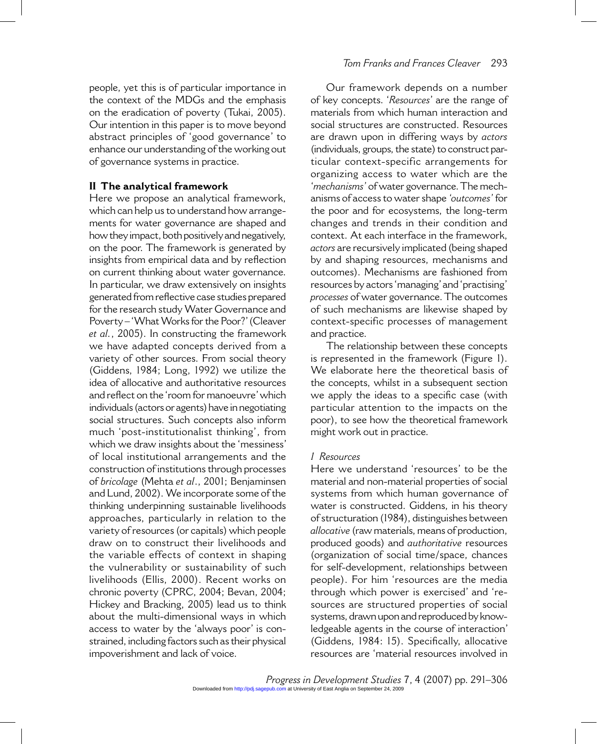people, yet this is of particular importance in the context of the MDGs and the emphasis on the eradication of poverty (Tukai, 2005). Our intention in this paper is to move beyond abstract principles of 'good governance' to enhance our understanding of the working out of governance systems in practice.

#### **II The analytical framework**

Here we propose an analytical framework, which can help us to understand how arrangements for water governance are shaped and how they impact, both positively and negatively, on the poor. The framework is generated by insights from empirical data and by reflection on current thinking about water governance. In particular, we draw extensively on insights generated from reflective case studies prepared for the research study Water Governance and Poverty – 'What Works for the Poor?' (Cleaver *et al.*, 2005). In constructing the framework we have adapted concepts derived from a variety of other sources. From social theory (Giddens, 1984; Long, 1992) we utilize the idea of allocative and authoritative resources and reflect on the 'room for manoeuvre' which individuals (actors or agents) have in negotiating social structures. Such concepts also inform much 'post-institutionalist thinking', from which we draw insights about the 'messiness' of local institutional arrangements and the construction of institutions through processes of *bricolage* (Mehta *et al*., 2001; Benjaminsen and Lund, 2002). We incorporate some of the thinking underpinning sustainable livelihoods approaches, particularly in relation to the variety of resources (or capitals) which people draw on to construct their livelihoods and the variable effects of context in shaping the vulnerability or sustainability of such livelihoods (Ellis, 2000). Recent works on chronic poverty (CPRC, 2004; Bevan, 2004; Hickey and Bracking, 2005) lead us to think about the multi-dimensional ways in which access to water by the 'always poor' is constrained, including factors such as their physical impoverishment and lack of voice.

Our framework depends on a number of key concepts. '*Resources*' are the range of materials from which human interaction and social structures are constructed. Resources are drawn upon in differing ways by *actors* (individuals, groups, the state) to construct particular context-specific arrangements for organizing access to water which are the '*mechanisms'* of water governance. The mechanisms of access to water shape *'outcomes'* for the poor and for ecosystems, the long-term changes and trends in their condition and context. At each interface in the framework, *actors* are recursively implicated (being shaped by and shaping resources, mechanisms and outcomes). Mechanisms are fashioned from resources by actors 'managing' and 'practising' *processes* of water governance. The outcomes of such mechanisms are likewise shaped by context-specific processes of management and practice.

The relationship between these concepts is represented in the framework (Figure 1). We elaborate here the theoretical basis of the concepts, whilst in a subsequent section we apply the ideas to a specific case (with particular attention to the impacts on the poor), to see how the theoretical framework might work out in practice.

#### *1 Resources*

Here we understand 'resources' to be the material and non-material properties of social systems from which human governance of water is constructed. Giddens, in his theory of structuration (1984), distinguishes between *allocative* (raw materials, means of production, produced goods) and *authoritative* resources (organization of social time/space, chances for self-development, relationships between people). For him 'resources are the media through which power is exercised' and 'resources are structured properties of social systems, drawn upon and reproduced by knowledgeable agents in the course of interaction' (Giddens, 1984: 15). Specifically, allocative resources are 'material resources involved in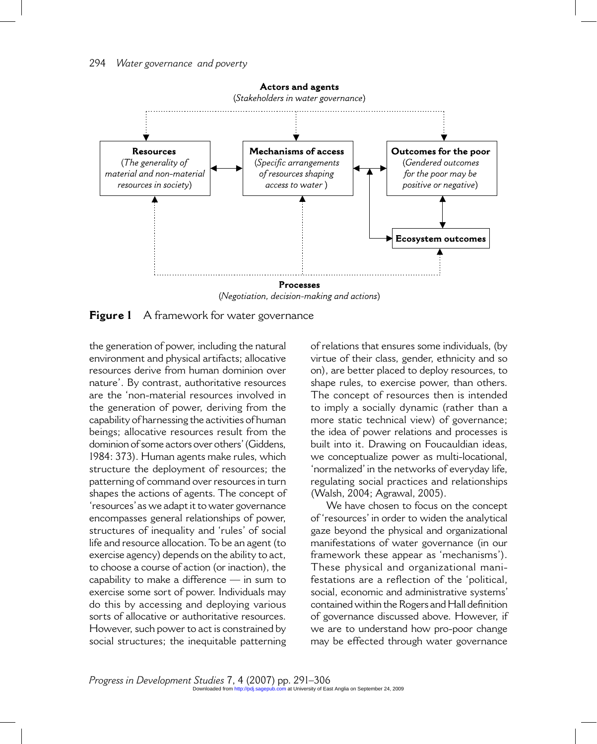

**Figure 1** A framework for water governance

the generation of power, including the natural environment and physical artifacts; allocative resources derive from human dominion over nature'. By contrast, authoritative resources are the 'non-material resources involved in the generation of power, deriving from the capability of harnessing the activities of human beings; allocative resources result from the dominion of some actors over others' (Giddens, 1984: 373). Human agents make rules, which structure the deployment of resources; the patterning of command over resources in turn shapes the actions of agents. The concept of 'resources' as we adapt it to water governance encompasses general relationships of power, structures of inequality and 'rules' of social life and resource allocation. To be an agent (to exercise agency) depends on the ability to act, to choose a course of action (or inaction), the capability to make a difference — in sum to exercise some sort of power. Individuals may do this by accessing and deploying various sorts of allocative or authoritative resources. However, such power to act is constrained by social structures; the inequitable patterning

of relations that ensures some individuals, (by virtue of their class, gender, ethnicity and so on), are better placed to deploy resources, to shape rules, to exercise power, than others. The concept of resources then is intended to imply a socially dynamic (rather than a more static technical view) of governance; the idea of power relations and processes is built into it. Drawing on Foucauldian ideas, we conceptualize power as multi-locational, 'normalized' in the networks of everyday life, regulating social practices and relationships (Walsh, 2004; Agrawal, 2005).

We have chosen to focus on the concept of 'resources' in order to widen the analytical gaze beyond the physical and organizational manifestations of water governance (in our framework these appear as 'mechanisms'). These physical and organizational manifestations are a reflection of the 'political, social, economic and administrative systems' contained within the Rogers and Hall definition of governance discussed above. However, if we are to understand how pro-poor change may be effected through water governance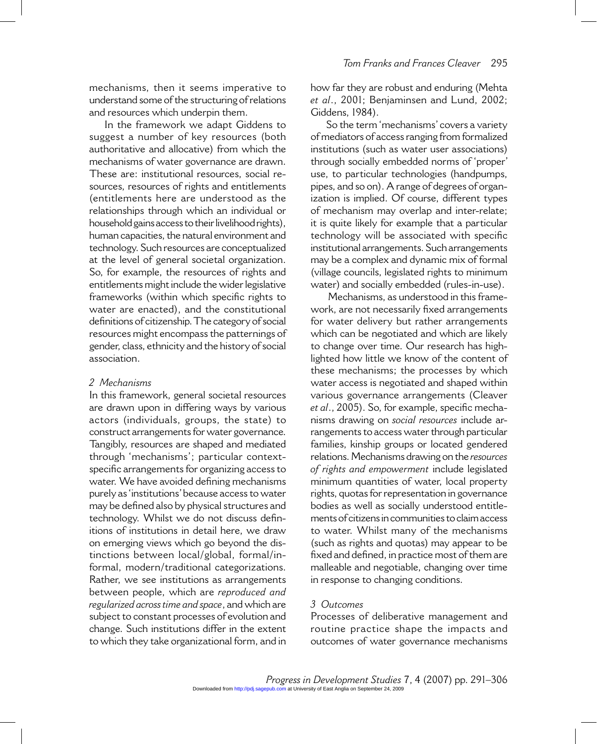mechanisms, then it seems imperative to understand some of the structuring of relations and resources which underpin them.

In the framework we adapt Giddens to suggest a number of key resources (both authoritative and allocative) from which the mechanisms of water governance are drawn. These are: institutional resources, social resources, resources of rights and entitlements (entitlements here are understood as the relationships through which an individual or household gains access to their livelihood rights), human capacities, the natural environment and technology. Such resources are conceptualized at the level of general societal organization. So, for example, the resources of rights and entitlements might include the wider legislative frameworks (within which specific rights to water are enacted), and the constitutional definitions of citizenship. The category of social resources might encompass the patternings of gender, class, ethnicity and the history of social association.

#### *2 Mechanisms*

In this framework, general societal resources are drawn upon in differing ways by various actors (individuals, groups, the state) to construct arrangements for water governance. Tangibly, resources are shaped and mediated through 'mechanisms'; particular contextspecific arrangements for organizing access to water. We have avoided defining mechanisms purely as 'institutions' because access to water may be defined also by physical structures and technology. Whilst we do not discuss definitions of institutions in detail here, we draw on emerging views which go beyond the distinctions between local/global, formal/informal, modern/traditional categorizations. Rather, we see institutions as arrangements between people, which are *reproduced and regularized across time and space*, and which are subject to constant processes of evolution and change. Such institutions differ in the extent to which they take organizational form, and in

how far they are robust and enduring (Mehta *et al*., 2001; Benjaminsen and Lund, 2002; Giddens, 1984).

So the term 'mechanisms' covers a variety of mediators of access ranging from formalized institutions (such as water user associations) through socially embedded norms of 'proper' use, to particular technologies (handpumps, pipes, and so on). A range of degrees of organization is implied. Of course, different types of mechanism may overlap and inter-relate; it is quite likely for example that a particular technology will be associated with specific institutional arrangements. Such arrangements may be a complex and dynamic mix of formal (village councils, legislated rights to minimum water) and socially embedded (rules-in-use).

 Mechanisms, as understood in this framework, are not necessarily fixed arrangements for water delivery but rather arrangements which can be negotiated and which are likely to change over time. Our research has highlighted how little we know of the content of these mechanisms; the processes by which water access is negotiated and shaped within various governance arrangements (Cleaver *et al.*, 2005). So, for example, specific mechanisms drawing on *social resources* include arrangements to access water through particular families, kinship groups or located gendered relations. Mechanisms drawing on the *resources of rights and empowerment* include legislated minimum quantities of water, local property rights, quotas for representation in governance bodies as well as socially understood entitlements of citizens in communities to claim access to water. Whilst many of the mechanisms (such as rights and quotas) may appear to be fixed and defined, in practice most of them are malleable and negotiable, changing over time in response to changing conditions.

#### *3 Outcomes*

Processes of deliberative management and routine practice shape the impacts and outcomes of water governance mechanisms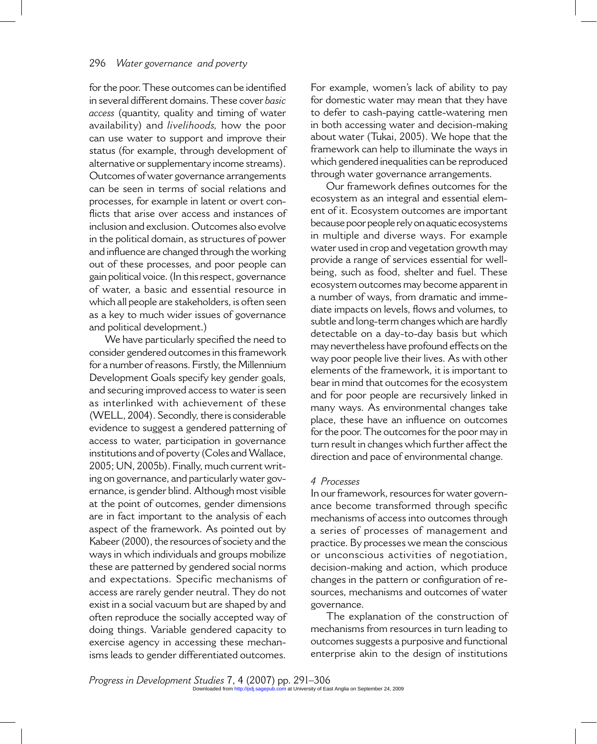for the poor. These outcomes can be identified in several different domains. These cover *basic access* (quantity, quality and timing of water availability) and *livelihoods,* how the poor can use water to support and improve their status (for example, through development of alternative or supplementary income streams). Outcomes of water governance arrangements can be seen in terms of social relations and processes, for example in latent or overt conflicts that arise over access and instances of inclusion and exclusion. Outcomes also evolve in the political domain, as structures of power and influence are changed through the working out of these processes, and poor people can gain political voice. (In this respect, governance of water, a basic and essential resource in which all people are stakeholders, is often seen as a key to much wider issues of governance and political development.)

We have particularly specified the need to consider gendered outcomes in this framework for a number of reasons. Firstly, the Millennium Development Goals specify key gender goals, and securing improved access to water is seen as interlinked with achievement of these (WELL, 2004). Secondly, there is considerable evidence to suggest a gendered patterning of access to water, participation in governance institutions and of poverty (Coles and Wallace, 2005; UN, 2005b). Finally, much current writing on governance, and particularly water governance, is gender blind. Although most visible at the point of outcomes, gender dimensions are in fact important to the analysis of each aspect of the framework. As pointed out by Kabeer (2000), the resources of society and the ways in which individuals and groups mobilize these are patterned by gendered social norms and expectations. Specific mechanisms of access are rarely gender neutral. They do not exist in a social vacuum but are shaped by and often reproduce the socially accepted way of doing things. Variable gendered capacity to exercise agency in accessing these mechanisms leads to gender differentiated outcomes.

For example, women's lack of ability to pay for domestic water may mean that they have to defer to cash-paying cattle-watering men in both accessing water and decision-making about water (Tukai, 2005). We hope that the framework can help to illuminate the ways in which gendered inequalities can be reproduced through water governance arrangements.

Our framework defines outcomes for the ecosystem as an integral and essential element of it. Ecosystem outcomes are important because poor people rely on aquatic ecosystems in multiple and diverse ways. For example water used in crop and vegetation growth may provide a range of services essential for wellbeing, such as food, shelter and fuel. These ecosystem outcomes may become apparent in a number of ways, from dramatic and immediate impacts on levels, flows and volumes, to subtle and long-term changes which are hardly detectable on a day-to-day basis but which may nevertheless have profound effects on the way poor people live their lives. As with other elements of the framework, it is important to bear in mind that outcomes for the ecosystem and for poor people are recursively linked in many ways. As environmental changes take place, these have an influence on outcomes for the poor. The outcomes for the poor may in turn result in changes which further affect the direction and pace of environmental change.

#### *4 Processes*

In our framework, resources for water governance become transformed through specific mechanisms of access into outcomes through a series of processes of management and practice. By processes we mean the conscious or unconscious activities of negotiation, decision-making and action, which produce changes in the pattern or configuration of resources, mechanisms and outcomes of water governance.

The explanation of the construction of mechanisms from resources in turn leading to outcomes suggests a purposive and functional enterprise akin to the design of institutions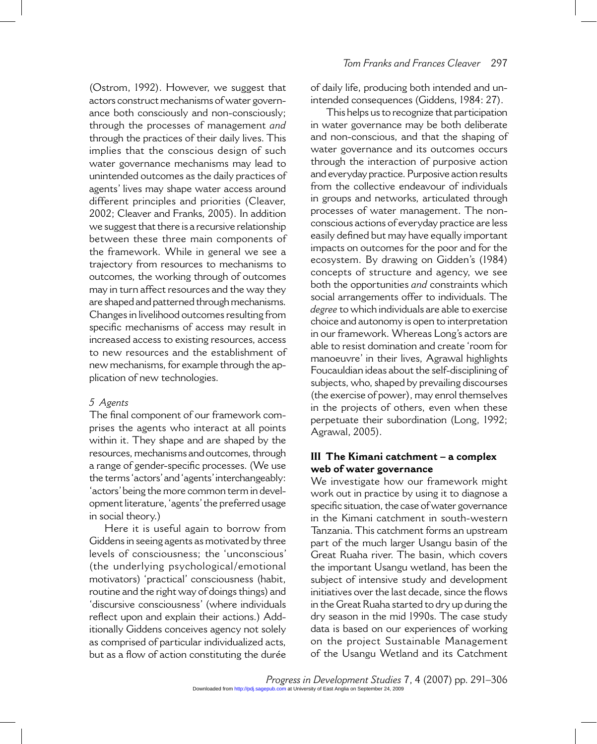(Ostrom, 1992). However, we suggest that actors construct mechanisms of water governance both consciously and non-consciously; through the processes of management *and*  through the practices of their daily lives. This implies that the conscious design of such water governance mechanisms may lead to unintended outcomes as the daily practices of agents' lives may shape water access around different principles and priorities (Cleaver, 2002; Cleaver and Franks, 2005). In addition we suggest that there is a recursive relationship between these three main components of the framework. While in general we see a trajectory from resources to mechanisms to outcomes, the working through of outcomes may in turn affect resources and the way they are shaped and patterned through mechanisms. Changes in livelihood outcomes resulting from specific mechanisms of access may result in increased access to existing resources, access to new resources and the establishment of new mechanisms, for example through the application of new technologies.

#### *5 Agents*

The final component of our framework comprises the agents who interact at all points within it. They shape and are shaped by the resources, mechanisms and outcomes, through a range of gender-specific processes. (We use the terms 'actors' and 'agents' interchangeably: 'actors' being the more common term in development literature, 'agents' the preferred usage in social theory.)

Here it is useful again to borrow from Giddens in seeing agents as motivated by three levels of consciousness; the 'unconscious' (the underlying psychological/emotional motivators) 'practical' consciousness (habit, routine and the right way of doings things) and 'discursive consciousness' (where individuals reflect upon and explain their actions.) Additionally Giddens conceives agency not solely as comprised of particular individualized acts, but as a flow of action constituting the durée

of daily life, producing both intended and unintended consequences (Giddens, 1984: 27).

This helps us to recognize that participation in water governance may be both deliberate and non-conscious, and that the shaping of water governance and its outcomes occurs through the interaction of purposive action and everyday practice. Purposive action results from the collective endeavour of individuals in groups and networks, articulated through processes of water management. The nonconscious actions of everyday practice are less easily defined but may have equally important impacts on outcomes for the poor and for the ecosystem. By drawing on Gidden's (1984) concepts of structure and agency, we see both the opportunities *and* constraints which social arrangements offer to individuals. The *degree* to which individuals are able to exercise choice and autonomy is open to interpretation in our framework. Whereas Long's actors are able to resist domination and create 'room for manoeuvre' in their lives, Agrawal highlights Foucauldian ideas about the self-disciplining of subjects, who, shaped by prevailing discourses (the exercise of power), may enrol themselves in the projects of others, even when these perpetuate their subordination (Long, 1992; Agrawal, 2005).

#### **III The Kimani catchment – a complex web of water governance**

We investigate how our framework might work out in practice by using it to diagnose a specific situation, the case of water governance in the Kimani catchment in south-western Tanzania. This catchment forms an upstream part of the much larger Usangu basin of the Great Ruaha river. The basin, which covers the important Usangu wetland, has been the subject of intensive study and development initiatives over the last decade, since the flows in the Great Ruaha started to dry up during the dry season in the mid 1990s. The case study data is based on our experiences of working on the project Sustainable Management of the Usangu Wetland and its Catchment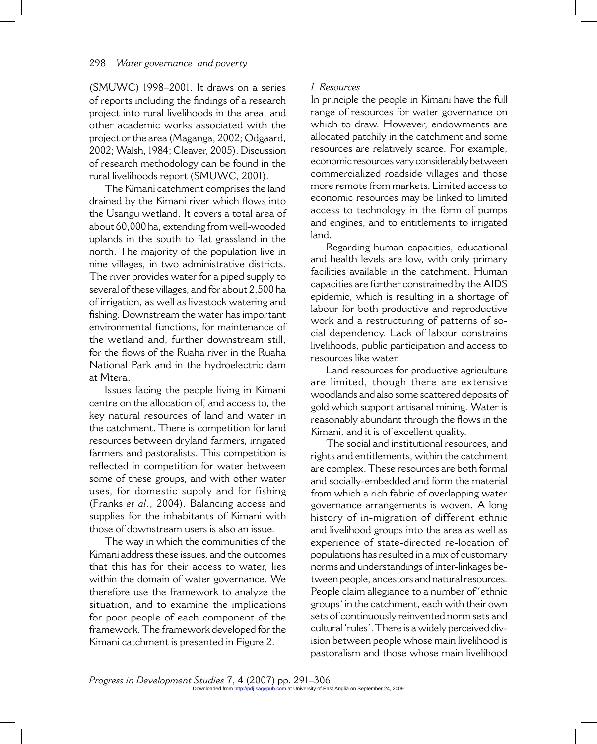(SMUWC) 1998–2001. It draws on a series of reports including the findings of a research project into rural livelihoods in the area, and other academic works associated with the project or the area (Maganga, 2002; Odgaard, 2002; Walsh, 1984; Cleaver, 2005). Discussion of research methodology can be found in the rural livelihoods report (SMUWC, 2001).

The Kimani catchment comprises the land drained by the Kimani river which flows into the Usangu wetland. It covers a total area of about 60,000 ha, extending from well-wooded uplands in the south to flat grassland in the north. The majority of the population live in nine villages, in two administrative districts. The river provides water for a piped supply to several of these villages, and for about 2,500 ha of irrigation, as well as livestock watering and fishing. Downstream the water has important environmental functions, for maintenance of the wetland and, further downstream still, for the flows of the Ruaha river in the Ruaha National Park and in the hydroelectric dam at Mtera.

Issues facing the people living in Kimani centre on the allocation of, and access to, the key natural resources of land and water in the catchment. There is competition for land resources between dryland farmers, irrigated farmers and pastoralists. This competition is reflected in competition for water between some of these groups, and with other water uses, for domestic supply and for fishing (Franks *et al*., 2004). Balancing access and supplies for the inhabitants of Kimani with those of downstream users is also an issue.

The way in which the communities of the Kimani address these issues, and the outcomes that this has for their access to water, lies within the domain of water governance. We therefore use the framework to analyze the situation, and to examine the implications for poor people of each component of the framework. The framework developed for the Kimani catchment is presented in Figure 2.

#### *1 Resources*

In principle the people in Kimani have the full range of resources for water governance on which to draw. However, endowments are allocated patchily in the catchment and some resources are relatively scarce. For example, economic resources vary considerably between commercialized roadside villages and those more remote from markets. Limited access to economic resources may be linked to limited access to technology in the form of pumps and engines, and to entitlements to irrigated land.

Regarding human capacities, educational and health levels are low, with only primary facilities available in the catchment. Human capacities are further constrained by the AIDS epidemic, which is resulting in a shortage of labour for both productive and reproductive work and a restructuring of patterns of social dependency. Lack of labour constrains livelihoods, public participation and access to resources like water.

Land resources for productive agriculture are limited, though there are extensive woodlands and also some scattered deposits of gold which support artisanal mining. Water is reasonably abundant through the flows in the Kimani, and it is of excellent quality.

The social and institutional resources, and rights and entitlements, within the catchment are complex. These resources are both formal and socially-embedded and form the material from which a rich fabric of overlapping water governance arrangements is woven. A long history of in-migration of different ethnic and livelihood groups into the area as well as experience of state-directed re-location of populations has resulted in a mix of customary norms and understandings of inter-linkages between people, ancestors and natural resources. People claim allegiance to a number of 'ethnic groups' in the catchment, each with their own sets of continuously reinvented norm sets and cultural 'rules'. There is a widely perceived division between people whose main livelihood is pastoralism and those whose main livelihood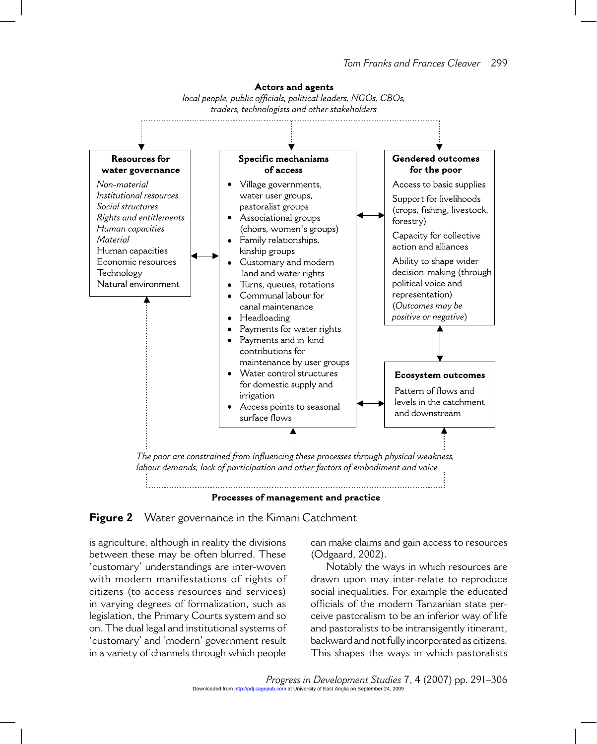

#### **Figure 2** Water governance in the Kimani Catchment

is agriculture, although in reality the divisions between these may be often blurred. These 'customary' understandings are inter-woven with modern manifestations of rights of citizens (to access resources and services) in varying degrees of formalization, such as legislation, the Primary Courts system and so on. The dual legal and institutional systems of 'customary' and 'modern' government result in a variety of channels through which people can make claims and gain access to resources (Odgaard, 2002).

Notably the ways in which resources are drawn upon may inter-relate to reproduce social inequalities. For example the educated offi cials of the modern Tanzanian state perceive pastoralism to be an inferior way of life and pastoralists to be intransigently itinerant, backward and not fully incorporated as citizens. This shapes the ways in which pastoralists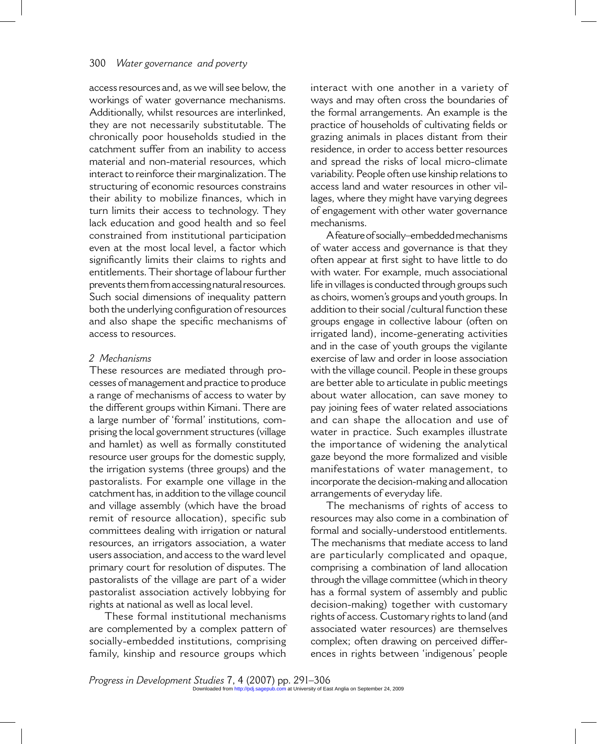access resources and, as we will see below, the workings of water governance mechanisms. Additionally, whilst resources are interlinked, they are not necessarily substitutable. The chronically poor households studied in the catchment suffer from an inability to access material and non-material resources, which interact to reinforce their marginalization. The structuring of economic resources constrains their ability to mobilize finances, which in turn limits their access to technology. They lack education and good health and so feel constrained from institutional participation even at the most local level, a factor which significantly limits their claims to rights and entitlements. Their shortage of labour further prevents them from accessing natural resources. Such social dimensions of inequality pattern both the underlying configuration of resources and also shape the specific mechanisms of access to resources.

#### *2 Mechanisms*

These resources are mediated through processes of management and practice to produce a range of mechanisms of access to water by the different groups within Kimani. There are a large number of 'formal' institutions, comprising the local government structures (village and hamlet) as well as formally constituted resource user groups for the domestic supply, the irrigation systems (three groups) and the pastoralists. For example one village in the catchment has, in addition to the village council and village assembly (which have the broad remit of resource allocation), specific sub committees dealing with irrigation or natural resources, an irrigators association, a water users association, and access to the ward level primary court for resolution of disputes. The pastoralists of the village are part of a wider pastoralist association actively lobbying for rights at national as well as local level.

These formal institutional mechanisms are complemented by a complex pattern of socially-embedded institutions, comprising family, kinship and resource groups which

interact with one another in a variety of ways and may often cross the boundaries of the formal arrangements. An example is the practice of households of cultivating fields or grazing animals in places distant from their residence, in order to access better resources and spread the risks of local micro-climate variability. People often use kinship relations to access land and water resources in other villages, where they might have varying degrees of engagement with other water governance mechanisms.

A feature of socially–embedded mechanisms of water access and governance is that they often appear at first sight to have little to do with water. For example, much associational life in villages is conducted through groups such as choirs, women's groups and youth groups. In addition to their social /cultural function these groups engage in collective labour (often on irrigated land), income-generating activities and in the case of youth groups the vigilante exercise of law and order in loose association with the village council. People in these groups are better able to articulate in public meetings about water allocation, can save money to pay joining fees of water related associations and can shape the allocation and use of water in practice. Such examples illustrate the importance of widening the analytical gaze beyond the more formalized and visible manifestations of water management, to incorporate the decision-making and allocation arrangements of everyday life.

The mechanisms of rights of access to resources may also come in a combination of formal and socially-understood entitlements. The mechanisms that mediate access to land are particularly complicated and opaque, comprising a combination of land allocation through the village committee (which in theory has a formal system of assembly and public decision-making) together with customary rights of access. Customary rights to land (and associated water resources) are themselves complex; often drawing on perceived differences in rights between 'indigenous' people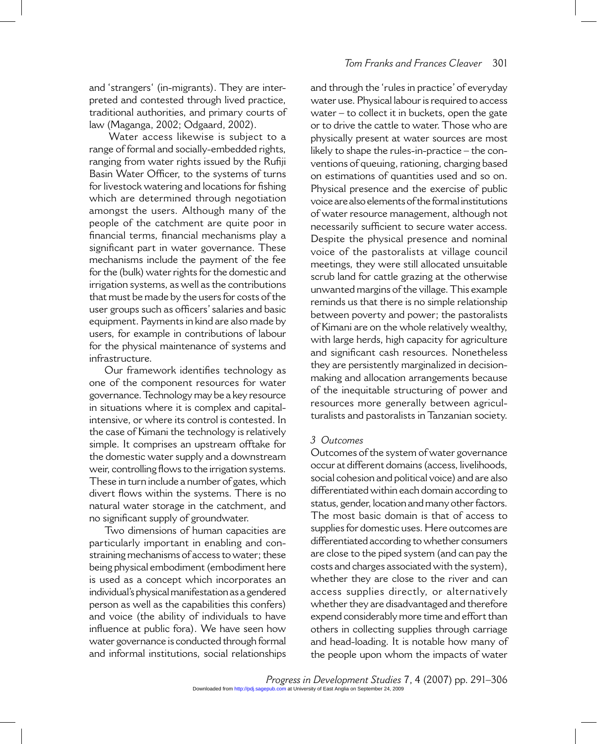and 'strangers' (in-migrants). They are interpreted and contested through lived practice, traditional authorities, and primary courts of law (Maganga, 2002; Odgaard, 2002).

 Water access likewise is subject to a range of formal and socially-embedded rights, ranging from water rights issued by the Rufiji Basin Water Officer, to the systems of turns for livestock watering and locations for fishing which are determined through negotiation amongst the users. Although many of the people of the catchment are quite poor in financial terms, financial mechanisms play a significant part in water governance. These mechanisms include the payment of the fee for the (bulk) water rights for the domestic and irrigation systems, as well as the contributions that must be made by the users for costs of the user groups such as officers' salaries and basic equipment. Payments in kind are also made by users, for example in contributions of labour for the physical maintenance of systems and infrastructure.

Our framework identifies technology as one of the component resources for water governance. Technology may be a key resource in situations where it is complex and capitalintensive, or where its control is contested. In the case of Kimani the technology is relatively simple. It comprises an upstream offtake for the domestic water supply and a downstream weir, controlling flows to the irrigation systems. These in turn include a number of gates, which divert flows within the systems. There is no natural water storage in the catchment, and no significant supply of groundwater.

Two dimensions of human capacities are particularly important in enabling and constraining mechanisms of access to water; these being physical embodiment (embodiment here is used as a concept which incorporates an individual's physical manifestation as a gendered person as well as the capabilities this confers) and voice (the ability of individuals to have influence at public fora). We have seen how water governance is conducted through formal and informal institutions, social relationships

and through the 'rules in practice' of everyday water use. Physical labour is required to access water – to collect it in buckets, open the gate or to drive the cattle to water. Those who are physically present at water sources are most likely to shape the rules-in-practice – the conventions of queuing, rationing, charging based on estimations of quantities used and so on. Physical presence and the exercise of public voice are also elements of the formal institutions of water resource management, although not necessarily sufficient to secure water access. Despite the physical presence and nominal voice of the pastoralists at village council meetings, they were still allocated unsuitable scrub land for cattle grazing at the otherwise unwanted margins of the village. This example reminds us that there is no simple relationship between poverty and power; the pastoralists of Kimani are on the whole relatively wealthy, with large herds, high capacity for agriculture and significant cash resources. Nonetheless they are persistently marginalized in decisionmaking and allocation arrangements because of the inequitable structuring of power and resources more generally between agriculturalists and pastoralists in Tanzanian society.

#### *3 Outcomes*

Outcomes of the system of water governance occur at different domains (access, livelihoods, social cohesion and political voice) and are also differentiated within each domain according to status, gender, location and many other factors. The most basic domain is that of access to supplies for domestic uses. Here outcomes are differentiated according to whether consumers are close to the piped system (and can pay the costs and charges associated with the system), whether they are close to the river and can access supplies directly, or alternatively whether they are disadvantaged and therefore expend considerably more time and effort than others in collecting supplies through carriage and head-loading. It is notable how many of the people upon whom the impacts of water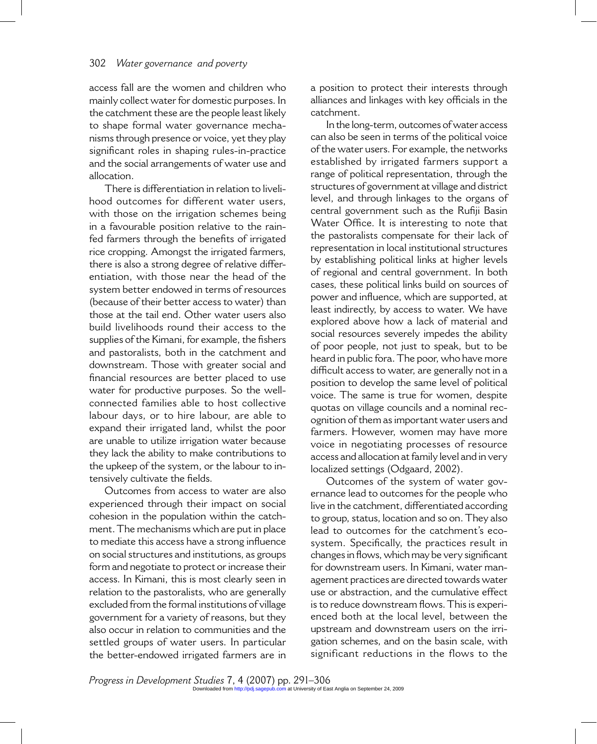access fall are the women and children who mainly collect water for domestic purposes. In the catchment these are the people least likely to shape formal water governance mechanisms through presence or voice, yet they play significant roles in shaping rules-in-practice and the social arrangements of water use and allocation.

There is differentiation in relation to livelihood outcomes for different water users. with those on the irrigation schemes being in a favourable position relative to the rainfed farmers through the benefits of irrigated rice cropping. Amongst the irrigated farmers, there is also a strong degree of relative differentiation, with those near the head of the system better endowed in terms of resources (because of their better access to water) than those at the tail end. Other water users also build livelihoods round their access to the supplies of the Kimani, for example, the fishers and pastoralists, both in the catchment and downstream. Those with greater social and financial resources are better placed to use water for productive purposes. So the wellconnected families able to host collective labour days, or to hire labour, are able to expand their irrigated land, whilst the poor are unable to utilize irrigation water because they lack the ability to make contributions to the upkeep of the system, or the labour to intensively cultivate the fields.

Outcomes from access to water are also experienced through their impact on social cohesion in the population within the catchment. The mechanisms which are put in place to mediate this access have a strong influence on social structures and institutions, as groups form and negotiate to protect or increase their access. In Kimani, this is most clearly seen in relation to the pastoralists, who are generally excluded from the formal institutions of village government for a variety of reasons, but they also occur in relation to communities and the settled groups of water users. In particular the better-endowed irrigated farmers are in a position to protect their interests through alliances and linkages with key officials in the catchment.

In the long-term, outcomes of water access can also be seen in terms of the political voice of the water users. For example, the networks established by irrigated farmers support a range of political representation, through the structures of government at village and district level, and through linkages to the organs of central government such as the Rufiji Basin Water Office. It is interesting to note that the pastoralists compensate for their lack of representation in local institutional structures by establishing political links at higher levels of regional and central government. In both cases, these political links build on sources of power and influence, which are supported, at least indirectly, by access to water. We have explored above how a lack of material and social resources severely impedes the ability of poor people, not just to speak, but to be heard in public fora. The poor, who have more difficult access to water, are generally not in a position to develop the same level of political voice. The same is true for women, despite quotas on village councils and a nominal recognition of them as important water users and farmers. However, women may have more voice in negotiating processes of resource access and allocation at family level and in very localized settings (Odgaard, 2002).

Outcomes of the system of water governance lead to outcomes for the people who live in the catchment, differentiated according to group, status, location and so on. They also lead to outcomes for the catchment's ecosystem. Specifically, the practices result in changes in flows, which may be very significant for downstream users. In Kimani, water management practices are directed towards water use or abstraction, and the cumulative effect is to reduce downstream flows. This is experienced both at the local level, between the upstream and downstream users on the irrigation schemes, and on the basin scale, with significant reductions in the flows to the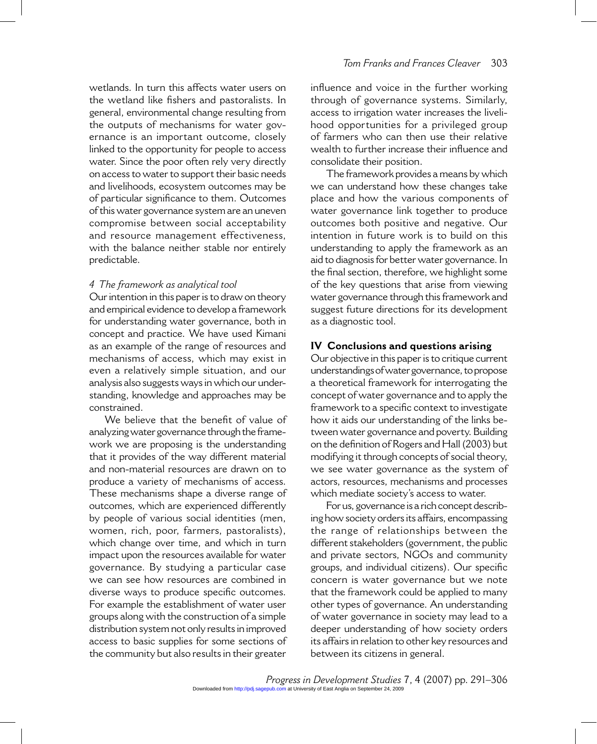wetlands. In turn this affects water users on the wetland like fishers and pastoralists. In general, environmental change resulting from the outputs of mechanisms for water governance is an important outcome, closely linked to the opportunity for people to access water. Since the poor often rely very directly on access to water to support their basic needs and livelihoods, ecosystem outcomes may be of particular significance to them. Outcomes of this water governance system are an uneven compromise between social acceptability and resource management effectiveness, with the balance neither stable nor entirely predictable.

#### *4 The framework as analytical tool*

Our intention in this paper is to draw on theory and empirical evidence to develop a framework for understanding water governance, both in concept and practice. We have used Kimani as an example of the range of resources and mechanisms of access, which may exist in even a relatively simple situation, and our analysis also suggests ways in which our understanding, knowledge and approaches may be constrained.

We believe that the benefit of value of analyzing water governance through the framework we are proposing is the understanding that it provides of the way different material and non-material resources are drawn on to produce a variety of mechanisms of access. These mechanisms shape a diverse range of outcomes, which are experienced differently by people of various social identities (men, women, rich, poor, farmers, pastoralists), which change over time, and which in turn impact upon the resources available for water governance. By studying a particular case we can see how resources are combined in diverse ways to produce specific outcomes. For example the establishment of water user groups along with the construction of a simple distribution system not only results in improved access to basic supplies for some sections of the community but also results in their greater

influence and voice in the further working through of governance systems. Similarly, access to irrigation water increases the livelihood opportunities for a privileged group of farmers who can then use their relative wealth to further increase their influence and consolidate their position.

The framework provides a means by which we can understand how these changes take place and how the various components of water governance link together to produce outcomes both positive and negative. Our intention in future work is to build on this understanding to apply the framework as an aid to diagnosis for better water governance. In the final section, therefore, we highlight some of the key questions that arise from viewing water governance through this framework and suggest future directions for its development as a diagnostic tool.

#### **IV Conclusions and questions arising**

Our objective in this paper is to critique current understandings of water governance, to propose a theoretical framework for interrogating the concept of water governance and to apply the framework to a specific context to investigate how it aids our understanding of the links between water governance and poverty. Building on the definition of Rogers and Hall (2003) but modifying it through concepts of social theory, we see water governance as the system of actors, resources, mechanisms and processes which mediate society's access to water.

For us, governance is a rich concept describing how society orders its affairs, encompassing the range of relationships between the different stakeholders (government, the public and private sectors, NGOs and community groups, and individual citizens). Our specific concern is water governance but we note that the framework could be applied to many other types of governance. An understanding of water governance in society may lead to a deeper understanding of how society orders its affairs in relation to other key resources and between its citizens in general.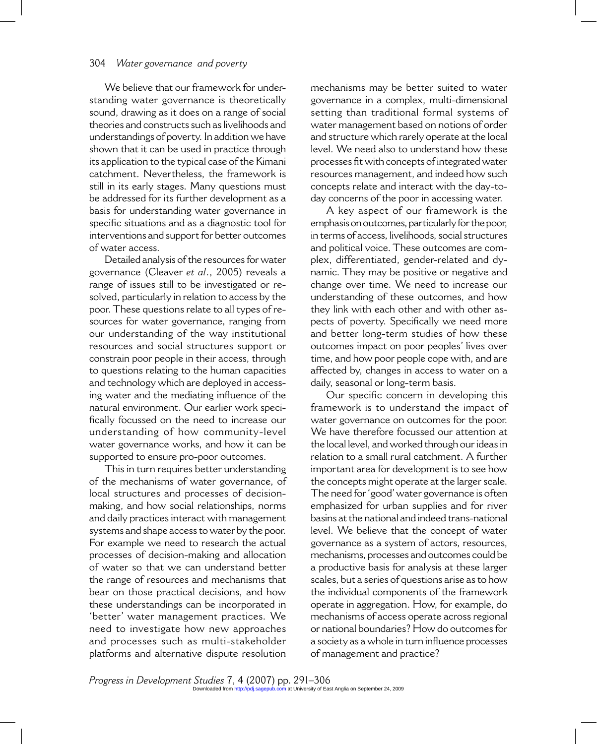We believe that our framework for understanding water governance is theoretically sound, drawing as it does on a range of social theories and constructs such as livelihoods and understandings of poverty. In addition we have shown that it can be used in practice through its application to the typical case of the Kimani catchment. Nevertheless, the framework is still in its early stages. Many questions must be addressed for its further development as a basis for understanding water governance in specific situations and as a diagnostic tool for interventions and support for better outcomes of water access.

Detailed analysis of the resources for water governance (Cleaver *et al*., 2005) reveals a range of issues still to be investigated or resolved, particularly in relation to access by the poor. These questions relate to all types of resources for water governance, ranging from our understanding of the way institutional resources and social structures support or constrain poor people in their access, through to questions relating to the human capacities and technology which are deployed in accessing water and the mediating influence of the natural environment. Our earlier work specifically focussed on the need to increase our understanding of how community-level water governance works, and how it can be supported to ensure pro-poor outcomes.

This in turn requires better understanding of the mechanisms of water governance, of local structures and processes of decisionmaking, and how social relationships, norms and daily practices interact with management systems and shape access to water by the poor. For example we need to research the actual processes of decision-making and allocation of water so that we can understand better the range of resources and mechanisms that bear on those practical decisions, and how these understandings can be incorporated in 'better' water management practices. We need to investigate how new approaches and processes such as multi-stakeholder platforms and alternative dispute resolution

mechanisms may be better suited to water governance in a complex, multi-dimensional setting than traditional formal systems of water management based on notions of order and structure which rarely operate at the local level. We need also to understand how these processes fit with concepts of integrated water resources management, and indeed how such concepts relate and interact with the day-today concerns of the poor in accessing water.

A key aspect of our framework is the emphasis on outcomes, particularly for the poor, in terms of access, livelihoods, social structures and political voice. These outcomes are complex, differentiated, gender-related and dynamic. They may be positive or negative and change over time. We need to increase our understanding of these outcomes, and how they link with each other and with other aspects of poverty. Specifically we need more and better long-term studies of how these outcomes impact on poor peoples' lives over time, and how poor people cope with, and are affected by, changes in access to water on a daily, seasonal or long-term basis.

Our specific concern in developing this framework is to understand the impact of water governance on outcomes for the poor. We have therefore focussed our attention at the local level, and worked through our ideas in relation to a small rural catchment. A further important area for development is to see how the concepts might operate at the larger scale. The need for 'good' water governance is often emphasized for urban supplies and for river basins at the national and indeed trans-national level. We believe that the concept of water governance as a system of actors, resources, mechanisms, processes and outcomes could be a productive basis for analysis at these larger scales, but a series of questions arise as to how the individual components of the framework operate in aggregation. How, for example, do mechanisms of access operate across regional or national boundaries? How do outcomes for a society as a whole in turn influence processes of management and practice?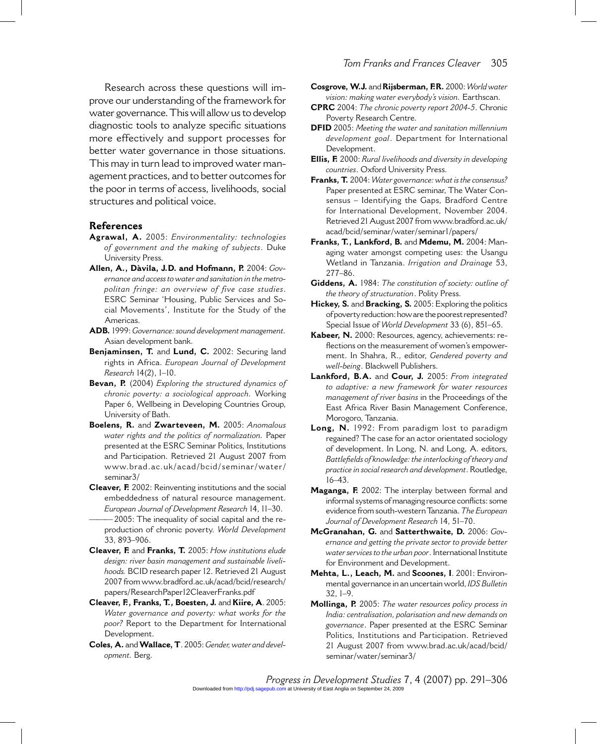Research across these questions will improve our understanding of the framework for water governance. This will allow us to develop diagnostic tools to analyze specific situations more effectively and support processes for better water governance in those situations. This may in turn lead to improved water management practices, and to better outcomes for the poor in terms of access, livelihoods, social structures and political voice.

#### **References**

- **Agrawal, A.** 2005: *Environmentality: technologies of government and the making of subjects*. Duke University Press.
- **Allen, A., Dàvila, J.D. and Hofmann, P.** 2004: *Governance and access to water and sanitation in the metropolitan fringe: an overview of five case studies*. ESRC Seminar 'Housing, Public Services and Social Movements', Institute for the Study of the Americas.
- **ADB.** 1999: *Governance: sound development management.* Asian development bank.
- **Benjaminsen, T.** and **Lund, C.** 2002: Securing land rights in Africa. *European Journal of Development Research* 14(2), 1-10.
- **Bevan, P.** (2004) *Exploring the structured dynamics of chronic poverty: a sociological approach.* Working Paper 6, Wellbeing in Developing Countries Group, University of Bath.
- **Boelens, R.** and **Zwarteveen, M.** 2005: *Anomalous water rights and the politics of normalization.* Paper presented at the ESRC Seminar Politics, Institutions and Participation. Retrieved 21 August 2007 from www.brad.ac.uk/acad/bcid/seminar/water/ seminar3/
- **Cleaver, F.** 2002: Reinventing institutions and the social embeddedness of natural resource management. *European Journal of Development Research* 14, 11–30.
- 2005: The inequality of social capital and the reproduction of chronic poverty. *World Development* 33, 893–906.
- **Cleaver, F.** and **Franks, T.** 2005: *How institutions elude design: river basin management and sustainable livelihoods.* BCID research paper 12. Retrieved 21 August 2007 from www.bradford.ac.uk/acad/bcid/research/ papers/ResearchPaper12CleaverFranks.pdf
- **Cleaver, F., Franks, T., Boesten, J.** and **Kiire, A**. 2005: *Water governance and poverty: what works for the poor?* Report to the Department for International Development.
- **Coles, A.** and **Wallace, T**. 2005: *Gender, water and development.* Berg.
- **Cosgrove, W.J.** and **Rijsberman, F.R.** 2000: *World water vision: making water everybody's vision.* Earthscan.
- **CPRC** 2004: *The chronic poverty report 2004-5*. Chronic Poverty Research Centre.
- **DFID** 2005: *Meeting the water and sanitation millennium development goal*. Department for International Development.
- **Ellis, F.** 2000: *Rural livelihoods and diversity in developing countries*. Oxford University Press.
- **Franks, T.** 2004: *Water governance: what is the consensus?* Paper presented at ESRC seminar, The Water Consensus – Identifying the Gaps, Bradford Centre for International Development, November 2004. Retrieved 21 August 2007 from www.bradford.ac.uk/ acad/bcid/seminar/water/seminar1/papers/
- **Franks, T., Lankford, B.** and **Mdemu, M.** 2004: Managing water amongst competing uses: the Usangu Wetland in Tanzania. *Irrigation and Drainage* 53, 277–86.
- **Giddens, A.** 1984: *The constitution of society: outline of the theory of structuration*. Polity Press.
- **Hickey, S.** and **Bracking, S.** 2005: Exploring the politics of poverty reduction: how are the poorest represented? Special Issue of *World Development* 33 (6), 851–65.
- **Kabeer, N.** 2000: Resources, agency, achievements: reflections on the measurement of women's empowerment. In Shahra, R., editor, *Gendered poverty and well-being*. Blackwell Publishers.
- **Lankford, B.A.** and **Cour, J.** 2005: *From integrated to adaptive: a new framework for water resources management of river basins* in the Proceedings of the East Africa River Basin Management Conference, Morogoro, Tanzania.
- **Long, N.** 1992: From paradigm lost to paradigm regained? The case for an actor orientated sociology of development. In Long, N. and Long, A. editors, *Battlefields of knowledge: the interlocking of theory and practice in social research and development*. Routledge, 16–43.
- **Maganga, F.** 2002: The interplay between formal and informal systems of managing resource conflicts: some evidence from south-western Tanzania. *The European Journal of Development Research* 14, 51–70.
- **McGranahan, G.** and **Satterthwaite, D.** 2006: *Governance and getting the private sector to provide better water services to the urban poor*. International Institute for Environment and Development.
- **Mehta, L., Leach, M.** and **Scoones, I**. 2001: Environmental governance in an uncertain world, *IDS Bulletin* 32, 1–9.
- **Mollinga, P.** 2005: *The water resources policy process in India: centralisation, polarisation and new demands on governance*. Paper presented at the ESRC Seminar Politics, Institutions and Participation. Retrieved 21 August 2007 from www.brad.ac.uk/acad/bcid/ seminar/water/seminar3/